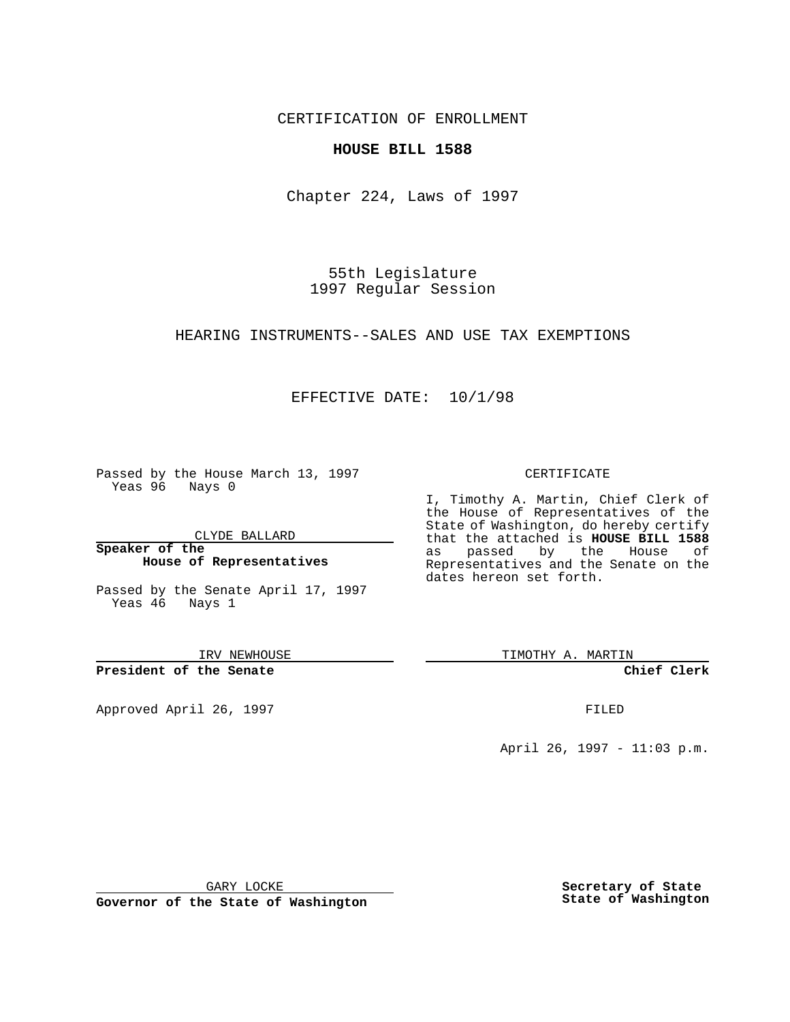CERTIFICATION OF ENROLLMENT

### **HOUSE BILL 1588**

Chapter 224, Laws of 1997

55th Legislature 1997 Regular Session

HEARING INSTRUMENTS--SALES AND USE TAX EXEMPTIONS

## EFFECTIVE DATE: 10/1/98

Passed by the House March 13, 1997 Yeas 96 Nays 0

CLYDE BALLARD

**Speaker of the House of Representatives**

Passed by the Senate April 17, 1997 Yeas 46 Nays 1

IRV NEWHOUSE

**President of the Senate**

Approved April 26, 1997 **FILED** 

#### CERTIFICATE

I, Timothy A. Martin, Chief Clerk of the House of Representatives of the State of Washington, do hereby certify that the attached is **HOUSE BILL 1588** as passed by the House of Representatives and the Senate on the dates hereon set forth.

TIMOTHY A. MARTIN

**Chief Clerk**

April 26, 1997 - 11:03 p.m.

GARY LOCKE

**Governor of the State of Washington**

**Secretary of State State of Washington**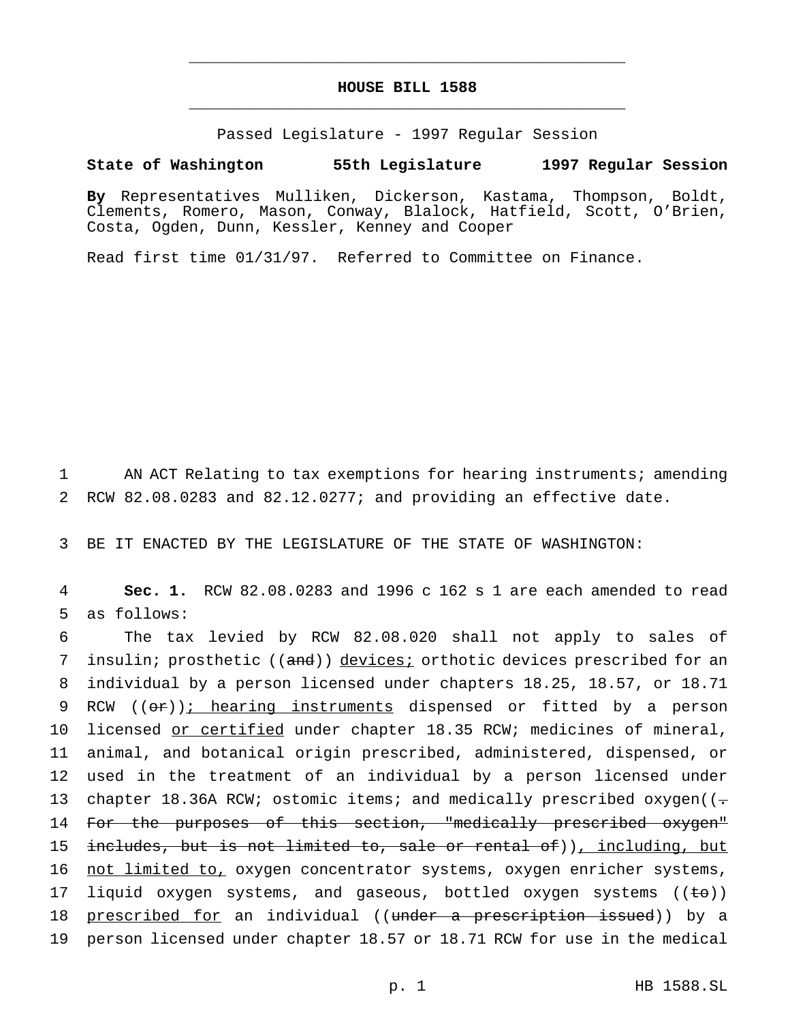# **HOUSE BILL 1588** \_\_\_\_\_\_\_\_\_\_\_\_\_\_\_\_\_\_\_\_\_\_\_\_\_\_\_\_\_\_\_\_\_\_\_\_\_\_\_\_\_\_\_\_\_\_\_

\_\_\_\_\_\_\_\_\_\_\_\_\_\_\_\_\_\_\_\_\_\_\_\_\_\_\_\_\_\_\_\_\_\_\_\_\_\_\_\_\_\_\_\_\_\_\_

Passed Legislature - 1997 Regular Session

#### **State of Washington 55th Legislature 1997 Regular Session**

**By** Representatives Mulliken, Dickerson, Kastama, Thompson, Boldt, Clements, Romero, Mason, Conway, Blalock, Hatfield, Scott, O'Brien, Costa, Ogden, Dunn, Kessler, Kenney and Cooper

Read first time 01/31/97. Referred to Committee on Finance.

1 AN ACT Relating to tax exemptions for hearing instruments; amending 2 RCW 82.08.0283 and 82.12.0277; and providing an effective date.

3 BE IT ENACTED BY THE LEGISLATURE OF THE STATE OF WASHINGTON:

4 **Sec. 1.** RCW 82.08.0283 and 1996 c 162 s 1 are each amended to read 5 as follows:

6 The tax levied by RCW 82.08.020 shall not apply to sales of 7 insulin; prosthetic ((and)) devices; orthotic devices prescribed for an 8 individual by a person licensed under chapters 18.25, 18.57, or 18.71 9 RCW ((or)); hearing instruments dispensed or fitted by a person 10 licensed or certified under chapter 18.35 RCW; medicines of mineral, 11 animal, and botanical origin prescribed, administered, dispensed, or 12 used in the treatment of an individual by a person licensed under 13 chapter 18.36A RCW; ostomic items; and medically prescribed oxygen( $(-$ 14 For the purposes of this section, "medically prescribed oxygen" 15 includes, but is not limited to, sale or rental of)), including, but 16 not limited to, oxygen concentrator systems, oxygen enricher systems, 17 liquid oxygen systems, and gaseous, bottled oxygen systems ((to)) 18 <u>prescribed for</u> an individual ((under a prescription issued)) by a 19 person licensed under chapter 18.57 or 18.71 RCW for use in the medical